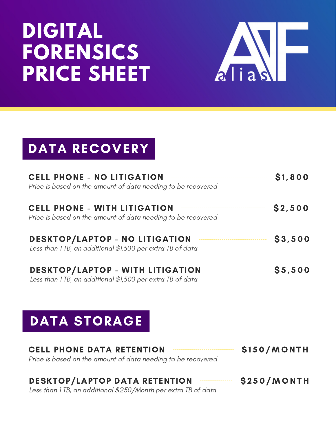# **DIGITAL FORENSICS PRICE SHEET**



# DATA RECOVERY

| <b>CELL PHONE - NO LITIGATION</b><br>Price is based on the amount of data needing to be recovered     | \$1,800 |
|-------------------------------------------------------------------------------------------------------|---------|
| <b>CELL PHONE - WITH LITIGATION</b><br>Price is based on the amount of data needing to be recovered   | \$2,500 |
| <b>DESKTOP/LAPTOP - NO LITIGATION</b><br>Less than 1 TB, an additional \$1,500 per extra TB of data   | \$3,500 |
| <b>DESKTOP/LAPTOP - WITH LITIGATION</b><br>Less than 1 TB, an additional \$1,500 per extra TB of data | \$5,500 |

# DATA STORAGE

CELL PHONE DATA RETENTION Price is based on the amount of data needing to be recovered \$150/MONTH

### DESKTOP/LAPTOP DATA RETENTION

\$250/MONTH

Less than 1 TB, an additional \$250/Month per extra TB of data